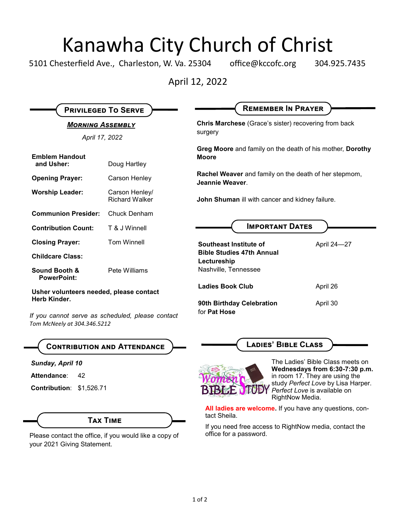## Kanawha City Church of Christ

5101 Chesterfield Ave., Charleston, W. Va. 25304 office@kccofc.org 304.925.7435

April 12, 2022

| <b>PRIVILEGED TO SERVE</b>                                                                      |                                         | <b>REMEMBER IN PRAYER</b>                                                                                                          |             |
|-------------------------------------------------------------------------------------------------|-----------------------------------------|------------------------------------------------------------------------------------------------------------------------------------|-------------|
| <b>MORNING ASSEMBLY</b><br>April 17, 2022                                                       |                                         | <b>Chris Marchese</b> (Grace's sister) recovering from back<br>surgery                                                             |             |
| <b>Emblem Handout</b><br>and Usher:<br>Doug Hartley                                             |                                         | Greg Moore and family on the death of his mother, Dorothy<br><b>Moore</b>                                                          |             |
| <b>Opening Prayer:</b>                                                                          | Carson Henley                           | <b>Rachel Weaver</b> and family on the death of her stepmom,<br>Jeannie Weaver.<br>John Shuman ill with cancer and kidney failure. |             |
| <b>Worship Leader:</b>                                                                          | Carson Henley/<br><b>Richard Walker</b> |                                                                                                                                    |             |
| <b>Communion Presider:</b>                                                                      | Chuck Denham                            |                                                                                                                                    |             |
| <b>Contribution Count:</b>                                                                      | T & J Winnell                           | <b>IMPORTANT DATES</b>                                                                                                             |             |
| <b>Closing Prayer:</b>                                                                          | <b>Tom Winnell</b>                      | Southeast Institute of                                                                                                             | April 24-27 |
| <b>Childcare Class:</b>                                                                         |                                         | <b>Bible Studies 47th Annual</b><br>Lectureship                                                                                    |             |
| Sound Booth &<br><b>PowerPoint:</b>                                                             | Pete Williams                           | Nashville, Tennessee                                                                                                               |             |
| Usher volunteers needed, please contact                                                         |                                         | <b>Ladies Book Club</b>                                                                                                            | April 26    |
| Herb Kinder.<br>If you cannot serve as scheduled, please contact<br>Tom McNeely at 304.346.5212 |                                         | 90th Birthday Celebration<br>for Pat Hose                                                                                          | April 30    |



#### *Sunday, April 10*

Attendance: 42

**Contribution**: \$1,526.71

## **Tax Time**

Please contact the office, if you would like a copy of your 2021 Giving Statement.

**Ladies' Bible Class**



The Ladies' Bible Class meets on **Wednesdays from 6:30-7:30 p.m.**  in room 17. They are using the study *Perfect Love* by Lisa Harper. *Perfect Love* is available on RightNow Media.

**All ladies are welcome.** If you have any questions, contact Sheila.

If you need free access to RightNow media, contact the office for a password.